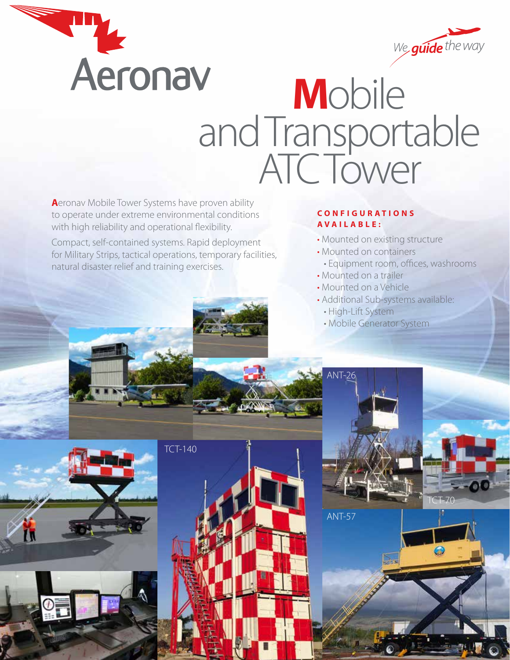



## Aeronav Mobile and Transportable ATC Tower

**A**eronav Mobile Tower Systems have proven ability to operate under extreme environmental conditions with high reliability and operational flexibility.

Compact, self-contained systems. Rapid deployment for Military Strips, tactical operations, temporary facilities, natural disaster relief and training exercises.

## **C O N F I G U R A T I O N S AVAILABLE:**

- Mounted on existing structure
- Mounted on containers
- Equipment room, offices, washrooms

TCT-70

- Mounted on a trailer
- Mounted on a Vehicle
- Additional Sub-systems available:
	- High-Lift System

 $\triangle$  ANT-26

ANT-57

• Mobile Generator System